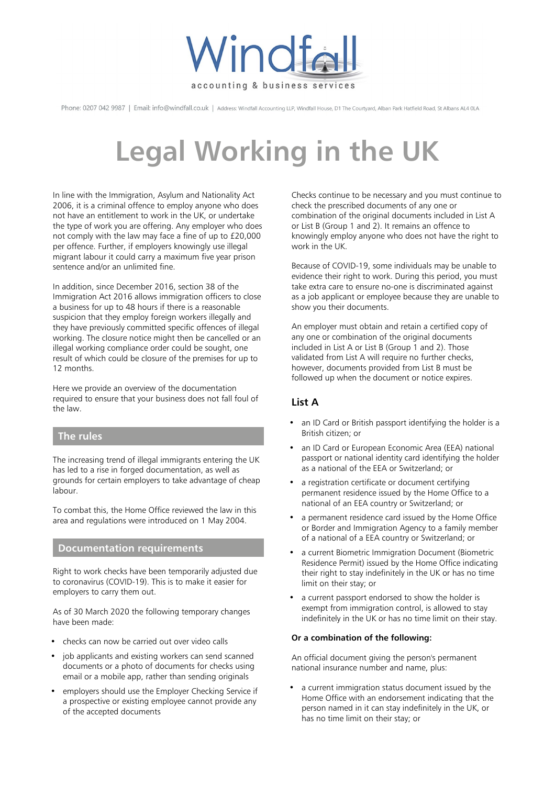

Phone: 0207 042 9987 | Email: info@windfall.co.uk | Address: Windfall Accounting LLP, Windfall House, D1 The Courtyard, Alban Park Hatfield Road, St Albans AL4 0LA

# **Legal Working in the UK**

In line with the Immigration, Asylum and Nationality Act 2006, it is a criminal offence to employ anyone who does not have an entitlement to work in the UK, or undertake the type of work you are offering. Any employer who does not comply with the law may face a fine of up to £20,000 per offence. Further, if employers knowingly use illegal migrant labour it could carry a maximum five year prison sentence and/or an unlimited fine.

In addition, since December 2016, section 38 of the Immigration Act 2016 allows immigration officers to close a business for up to 48 hours if there is a reasonable suspicion that they employ foreign workers illegally and they have previously committed specific offences of illegal working. The closure notice might then be cancelled or an illegal working compliance order could be sought, one result of which could be closure of the premises for up to 12 months.

Here we provide an overview of the documentation required to ensure that your business does not fall foul of the law.

## **The rules**

The increasing trend of illegal immigrants entering the UK has led to a rise in forged documentation, as well as grounds for certain employers to take advantage of cheap labour.

To combat this, the Home Office reviewed the law in this area and regulations were introduced on 1 May 2004.

## **Documentation requirements**

Right to work checks have been temporarily adjusted due to coronavirus (COVID-19). This is to make it easier for employers to carry them out.

As of 30 March 2020 the following temporary changes have been made:

- checks can now be carried out over video calls
- job applicants and existing workers can send scanned documents or a photo of documents for checks using email or a mobile app, rather than sending originals
- employers should use the Employer Checking Service if a prospective or existing employee cannot provide any of the accepted documents

Checks continue to be necessary and you must continue to check the prescribed documents of any one or combination of the original documents included in List A or List B (Group 1 and 2). It remains an offence to knowingly employ anyone who does not have the right to work in the UK.

Because of COVID-19, some individuals may be unable to evidence their right to work. During this period, you must take extra care to ensure no-one is discriminated against as a job applicant or employee because they are unable to show you their documents.

An employer must obtain and retain a certified copy of any one or combination of the original documents included in List A or List B (Group 1 and 2). Those validated from List A will require no further checks, however, documents provided from List B must be followed up when the document or notice expires.

# **List A**

- an ID Card or British passport identifying the holder is a British citizen; or
- an ID Card or European Economic Area (EEA) national passport or national identity card identifying the holder as a national of the EEA or Switzerland; or
- a registration certificate or document certifying permanent residence issued by the Home Office to a national of an EEA country or Switzerland; or
- a permanent residence card issued by the Home Office or Border and Immigration Agency to a family member of a national of a EEA country or Switzerland; or
- a current Biometric Immigration Document (Biometric Residence Permit) issued by the Home Office indicating their right to stay indefinitely in the UK or has no time limit on their stay; or
- a current passport endorsed to show the holder is exempt from immigration control, is allowed to stay indefinitely in the UK or has no time limit on their stay.

#### **Or a combination of the following:**

An official document giving the person's permanent national insurance number and name, plus:

• a current immigration status document issued by the Home Office with an endorsement indicating that the person named in it can stay indefinitely in the UK, or has no time limit on their stay; or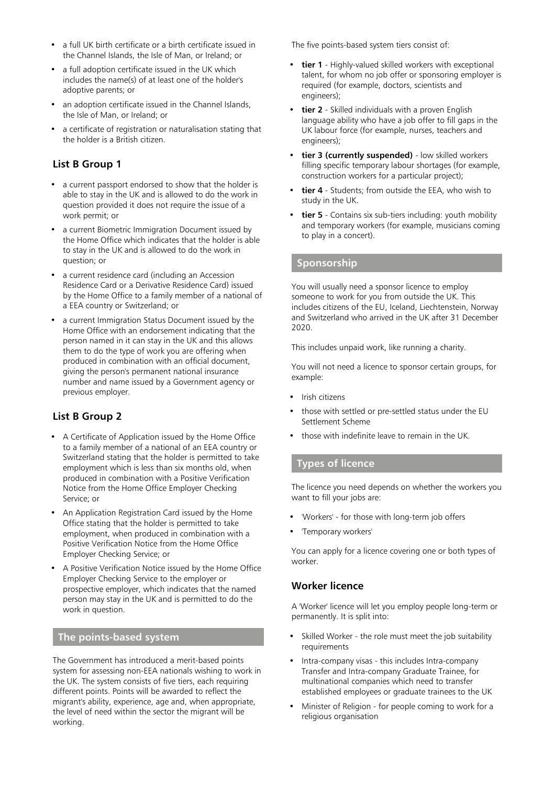- a full UK birth certificate or a birth certificate issued in the Channel Islands, the Isle of Man, or Ireland; or
- a full adoption certificate issued in the UK which includes the name(s) of at least one of the holder's adoptive parents; or
- an adoption certificate issued in the Channel Islands, the Isle of Man, or Ireland; or
- a certificate of registration or naturalisation stating that the holder is a British citizen.

# **List B Group 1**

- a current passport endorsed to show that the holder is able to stay in the UK and is allowed to do the work in question provided it does not require the issue of a work permit; or
- a current Biometric Immigration Document issued by the Home Office which indicates that the holder is able to stay in the UK and is allowed to do the work in question; or
- a current residence card (including an Accession Residence Card or a Derivative Residence Card) issued by the Home Office to a family member of a national of a EEA country or Switzerland; or
- a current Immigration Status Document issued by the Home Office with an endorsement indicating that the person named in it can stay in the UK and this allows them to do the type of work you are offering when produced in combination with an official document, giving the person's permanent national insurance number and name issued by a Government agency or previous employer.

## **List B Group 2**

- A Certificate of Application issued by the Home Office to a family member of a national of an EEA country or Switzerland stating that the holder is permitted to take employment which is less than six months old, when produced in combination with a Positive Verification Notice from the Home Office Employer Checking Service; or
- An Application Registration Card issued by the Home Office stating that the holder is permitted to take employment, when produced in combination with a Positive Verification Notice from the Home Office Employer Checking Service; or
- A Positive Verification Notice issued by the Home Office Employer Checking Service to the employer or prospective employer, which indicates that the named person may stay in the UK and is permitted to do the work in question.

# **The points-based system**

The Government has introduced a merit-based points system for assessing non-EEA nationals wishing to work in the UK. The system consists of five tiers, each requiring different points. Points will be awarded to reflect the migrant's ability, experience, age and, when appropriate, the level of need within the sector the migrant will be working.

The five points-based system tiers consist of:

- **tier 1** Highly-valued skilled workers with exceptional talent, for whom no job offer or sponsoring employer is required (for example, doctors, scientists and engineers);
- **tier 2** Skilled individuals with a proven English language ability who have a job offer to fill gaps in the UK labour force (for example, nurses, teachers and engineers);
- **tier 3 (currently suspended)** low skilled workers filling specific temporary labour shortages (for example, construction workers for a particular project);
- **tier 4** Students; from outside the EEA, who wish to study in the UK.
- **tier 5** Contains six sub-tiers including: youth mobility and temporary workers (for example, musicians coming to play in a concert).

#### **Sponsorship**

You will usually need a sponsor licence to employ someone to work for you from outside the UK. This includes citizens of the EU, Iceland, Liechtenstein, Norway and Switzerland who arrived in the UK after 31 December 2020.

This includes unpaid work, like running a charity.

You will not need a licence to sponsor certain groups, for example:

- Irish citizens
- those with settled or pre-settled status under the EU Settlement Scheme
- those with indefinite leave to remain in the UK.

### **Types of licence**

The licence you need depends on whether the workers you want to fill your jobs are:

- 'Workers' for those with long-term job offers
- 'Temporary workers'

You can apply for a licence covering one or both types of worker.

## **Worker licence**

A 'Worker' licence will let you employ people long-term or permanently. It is split into:

- Skilled Worker the role must meet the job suitability requirements
- Intra-company visas this includes Intra-company Transfer and Intra-company Graduate Trainee, for multinational companies which need to transfer established employees or graduate trainees to the UK
- Minister of Religion for people coming to work for a religious organisation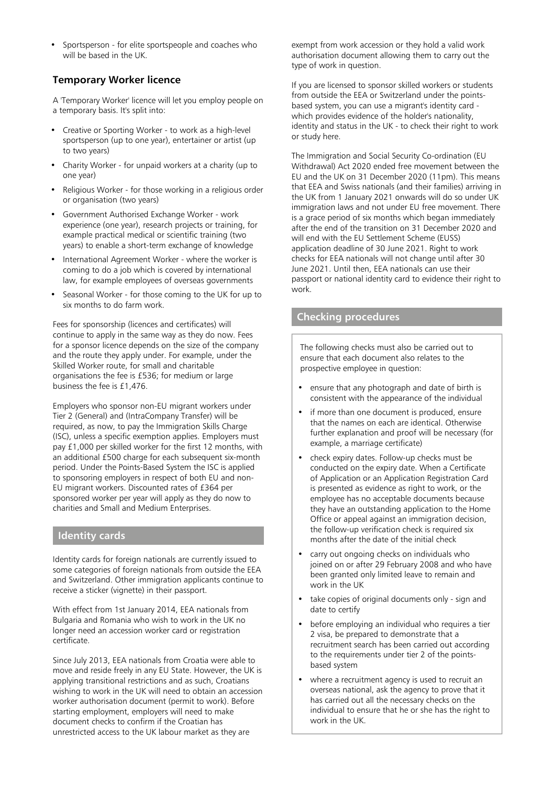• Sportsperson - for elite sportspeople and coaches who will be based in the UK.

# **Temporary Worker licence**

A 'Temporary Worker' licence will let you employ people on a temporary basis. It's split into:

- Creative or Sporting Worker to work as a high-level sportsperson (up to one year), entertainer or artist (up to two years)
- Charity Worker for unpaid workers at a charity (up to one year)
- Religious Worker for those working in a religious order or organisation (two years)
- Government Authorised Exchange Worker work experience (one year), research projects or training, for example practical medical or scientific training (two years) to enable a short-term exchange of knowledge
- International Agreement Worker where the worker is coming to do a job which is covered by international law, for example employees of overseas governments
- Seasonal Worker for those coming to the UK for up to six months to do farm work.

Fees for sponsorship (licences and certificates) will continue to apply in the same way as they do now. Fees for a sponsor licence depends on the size of the company and the route they apply under. For example, under the Skilled Worker route, for small and charitable organisations the fee is £536; for medium or large business the fee is £1,476.

Employers who sponsor non-EU migrant workers under Tier 2 (General) and (IntraCompany Transfer) will be required, as now, to pay the Immigration Skills Charge (ISC), unless a specific exemption applies. Employers must pay £1,000 per skilled worker for the first 12 months, with an additional £500 charge for each subsequent six-month period. Under the Points-Based System the ISC is applied to sponsoring employers in respect of both EU and non-EU migrant workers. Discounted rates of £364 per sponsored worker per year will apply as they do now to charities and Small and Medium Enterprises.

#### **Identity cards**

Identity cards for foreign nationals are currently issued to some categories of foreign nationals from outside the EEA and Switzerland. Other immigration applicants continue to receive a sticker (vignette) in their passport.

With effect from 1st January 2014, EEA nationals from Bulgaria and Romania who wish to work in the UK no longer need an accession worker card or registration certificate.

Since July 2013, EEA nationals from Croatia were able to move and reside freely in any EU State. However, the UK is applying transitional restrictions and as such, Croatians wishing to work in the UK will need to obtain an accession worker authorisation document (permit to work). Before starting employment, employers will need to make document checks to confirm if the Croatian has unrestricted access to the UK labour market as they are

exempt from work accession or they hold a valid work authorisation document allowing them to carry out the type of work in question.

If you are licensed to sponsor skilled workers or students from outside the EEA or Switzerland under the pointsbased system, you can use a migrant's identity card which provides evidence of the holder's nationality, identity and status in the UK - to check their right to work or study here.

The Immigration and Social Security Co-ordination (EU Withdrawal) Act 2020 ended free movement between the EU and the UK on 31 December 2020 (11pm). This means that EEA and Swiss nationals (and their families) arriving in the UK from 1 January 2021 onwards will do so under UK immigration laws and not under EU free movement. There is a grace period of six months which began immediately after the end of the transition on 31 December 2020 and will end with the EU Settlement Scheme (EUSS) application deadline of 30 June 2021. Right to work checks for EEA nationals will not change until after 30 June 2021. Until then, EEA nationals can use their passport or national identity card to evidence their right to work.

#### **Checking procedures**

The following checks must also be carried out to ensure that each document also relates to the prospective employee in question:

- ensure that any photograph and date of birth is consistent with the appearance of the individual
- if more than one document is produced, ensure that the names on each are identical. Otherwise further explanation and proof will be necessary (for example, a marriage certificate)
- check expiry dates. Follow-up checks must be conducted on the expiry date. When a Certificate of Application or an Application Registration Card is presented as evidence as right to work, or the employee has no acceptable documents because they have an outstanding application to the Home Office or appeal against an immigration decision, the follow-up verification check is required six months after the date of the initial check
- carry out ongoing checks on individuals who joined on or after 29 February 2008 and who have been granted only limited leave to remain and work in the UK
- take copies of original documents only sign and date to certify
- before employing an individual who requires a tier 2 visa, be prepared to demonstrate that a recruitment search has been carried out according to the requirements under tier 2 of the pointsbased system
- where a recruitment agency is used to recruit an overseas national, ask the agency to prove that it has carried out all the necessary checks on the individual to ensure that he or she has the right to work in the UK.